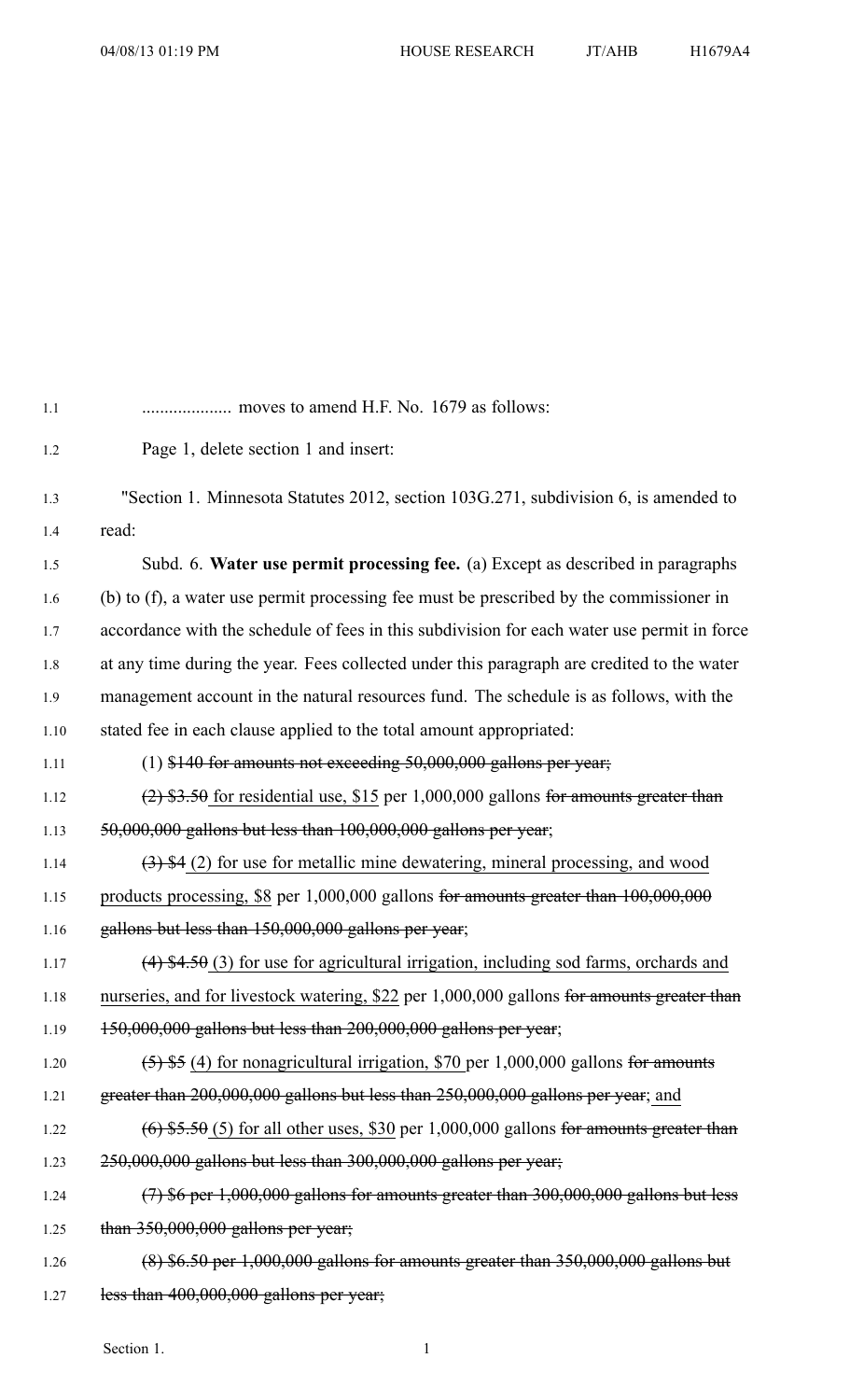| 1.1  | moves to amend H.F. No. 1679 as follows:                                                    |
|------|---------------------------------------------------------------------------------------------|
| 1.2  | Page 1, delete section 1 and insert:                                                        |
| 1.3  | "Section 1. Minnesota Statutes 2012, section 103G.271, subdivision 6, is amended to         |
| 1.4  | read:                                                                                       |
| 1.5  | Subd. 6. Water use permit processing fee. (a) Except as described in paragraphs             |
| 1.6  | (b) to (f), a water use permit processing fee must be prescribed by the commissioner in     |
| 1.7  | accordance with the schedule of fees in this subdivision for each water use permit in force |
| 1.8  | at any time during the year. Fees collected under this paragraph are credited to the water  |
| 1.9  | management account in the natural resources fund. The schedule is as follows, with the      |
| 1.10 | stated fee in each clause applied to the total amount appropriated:                         |
| 1.11 | $(1)$ \$140 for amounts not exceeding 50,000,000 gallons per year;                          |
| 1.12 | $(2)$ \$3.50 for residential use, \$15 per 1,000,000 gallons for amounts greater than       |
| 1.13 | 50,000,000 gallons but less than 100,000,000 gallons per year;                              |
| 1.14 | $(3)$ \$4 (2) for use for metallic mine dewatering, mineral processing, and wood            |
| 1.15 | products processing, \$8 per $1,000,000$ gallons for amounts greater than $100,000,000$     |
| 1.16 | gallons but less than 150,000,000 gallons per year;                                         |
| 1.17 | $(4)$ \$4.50 (3) for use for agricultural irrigation, including sod farms, orchards and     |
| 1.18 | nurseries, and for livestock watering, \$22 per 1,000,000 gallons for amounts greater than  |
| 1.19 | 150,000,000 gallons but less than 200,000,000 gallons per year;                             |
| 1.20 | $(5)$ \$5 (4) for nonagricultural irrigation, \$70 per 1,000,000 gallons for amounts        |
| 1.21 | greater than 200,000,000 gallons but less than 250,000,000 gallons per year; and            |
| 1.22 | $(6)$ \$5.50 (5) for all other uses, \$30 per 1,000,000 gallons for amounts greater than    |
| 1.23 | $250,000,000$ gallons but less than $300,000,000$ gallons per year;                         |
| 1.24 | $(7)$ \$6 per 1,000,000 gallons for amounts greater than 300,000,000 gallons but less       |
| 1.25 | than $350,000,000$ gallons per year;                                                        |
| 1.26 | $(8)$ \$6.50 per 1,000,000 gallons for amounts greater than 350,000,000 gallons but         |
| 1.27 | less than $400,000,000$ gallons per year;                                                   |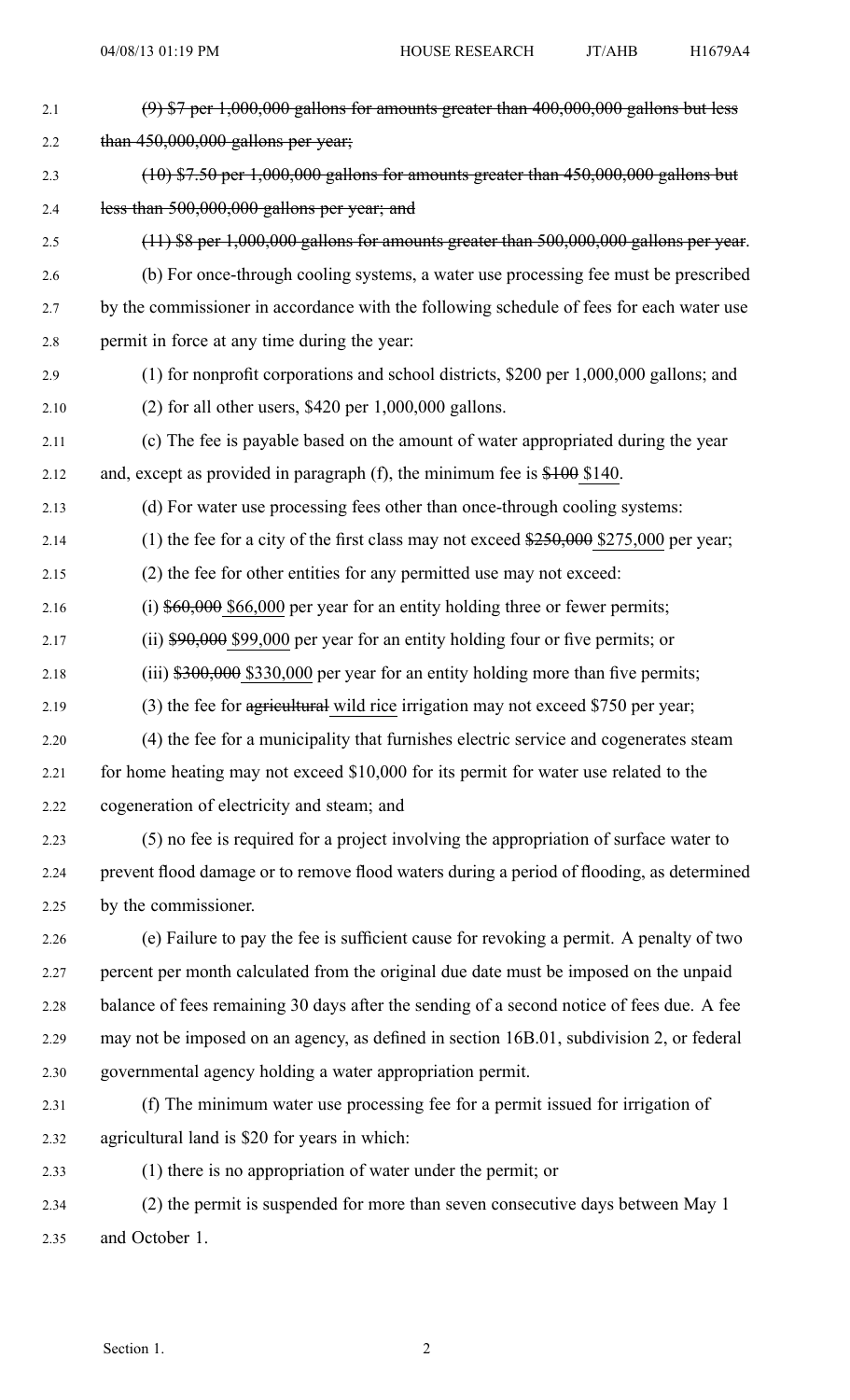| 2.1  | $(9)$ \$7 per 1,000,000 gallons for amounts greater than 400,000,000 gallons but less          |
|------|------------------------------------------------------------------------------------------------|
| 2.2  | than $450,000,000$ gallons per year;                                                           |
| 2.3  | $(10)$ \$7.50 per 1,000,000 gallons for amounts greater than 450,000,000 gallons but           |
| 2.4  | less than 500,000,000 gallons per year; and                                                    |
| 2.5  | $(11)$ \$8 per 1,000,000 gallons for amounts greater than 500,000,000 gallons per year.        |
| 2.6  | (b) For once-through cooling systems, a water use processing fee must be prescribed            |
| 2.7  | by the commissioner in accordance with the following schedule of fees for each water use       |
| 2.8  | permit in force at any time during the year:                                                   |
| 2.9  | $(1)$ for nonprofit corporations and school districts, \$200 per 1,000,000 gallons; and        |
| 2.10 | $(2)$ for all other users, \$420 per 1,000,000 gallons.                                        |
| 2.11 | (c) The fee is payable based on the amount of water appropriated during the year               |
| 2.12 | and, except as provided in paragraph (f), the minimum fee is $$100$ \$140.                     |
| 2.13 | (d) For water use processing fees other than once-through cooling systems:                     |
| 2.14 | (1) the fee for a city of the first class may not exceed $\frac{$250,000}{$275,000}$ per year; |
| 2.15 | (2) the fee for other entities for any permitted use may not exceed:                           |
| 2.16 | (i) $$60,000$ \$66,000 per year for an entity holding three or fewer permits;                  |
| 2.17 | (ii) $$90,000$ \$99,000 per year for an entity holding four or five permits; or                |
| 2.18 | $(iii)$ \$300,000 \$330,000 per year for an entity holding more than five permits;             |
| 2.19 | (3) the fee for agricultural wild rice irrigation may not exceed \$750 per year;               |
| 2.20 | (4) the fee for a municipality that furnishes electric service and cogenerates steam           |
| 2.21 | for home heating may not exceed \$10,000 for its permit for water use related to the           |
| 2.22 | cogeneration of electricity and steam; and                                                     |
| 2.23 | (5) no fee is required for a project involving the appropriation of surface water to           |
| 2.24 | prevent flood damage or to remove flood waters during a period of flooding, as determined      |
| 2.25 | by the commissioner.                                                                           |
| 2.26 | (e) Failure to pay the fee is sufficient cause for revoking a permit. A penalty of two         |
| 2.27 | percent per month calculated from the original due date must be imposed on the unpaid          |
| 2.28 | balance of fees remaining 30 days after the sending of a second notice of fees due. A fee      |
| 2.29 | may not be imposed on an agency, as defined in section 16B.01, subdivision 2, or federal       |
| 2.30 | governmental agency holding a water appropriation permit.                                      |
| 2.31 | (f) The minimum water use processing fee for a permit issued for irrigation of                 |
| 2.32 | agricultural land is \$20 for years in which:                                                  |
| 2.33 | (1) there is no appropriation of water under the permit; or                                    |
| 2.34 | (2) the permit is suspended for more than seven consecutive days between May 1                 |
| 2.35 | and October 1.                                                                                 |
|      |                                                                                                |